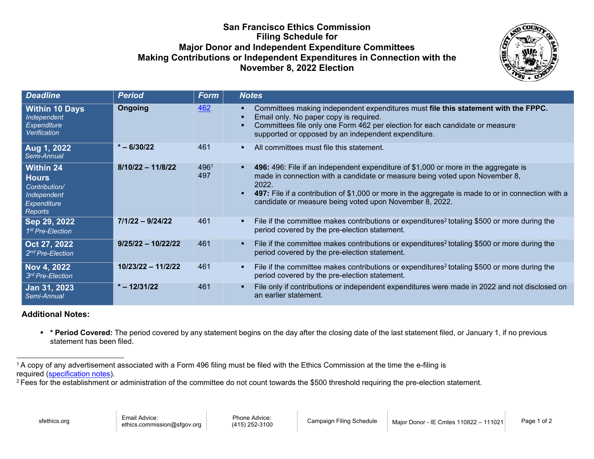## **San Francisco Ethics Commission Filing Schedule for Major Donor and Independent Expenditure Committees Making Contributions or Independent Expenditures in Connection with the November 8, 2022 Election**

<span id="page-0-1"></span><span id="page-0-0"></span>

| <b>Deadline</b>                                                                            | <b>Period</b>        | <b>Form</b> | <b>Notes</b>                                                                                                                                                                                                                                                                                                                                      |
|--------------------------------------------------------------------------------------------|----------------------|-------------|---------------------------------------------------------------------------------------------------------------------------------------------------------------------------------------------------------------------------------------------------------------------------------------------------------------------------------------------------|
| <b>Within 10 Days</b><br>Independent<br><b>Expenditure</b><br>Verification                 | <b>Ongoing</b>       | 462         | Committees making independent expenditures must file this statement with the FPPC.<br>٠<br>Email only. No paper copy is required.<br>Committees file only one Form 462 per election for each candidate or measure<br>supported or opposed by an independent expenditure.                                                                          |
| Aug 1, 2022<br>Semi-Annual                                                                 | $* - 6/30/22$        | 461         | All committees must file this statement.<br>٠                                                                                                                                                                                                                                                                                                     |
| Within 24<br><b>Hours</b><br>Contribution/<br>Independent<br><b>Expenditure</b><br>Reports | $8/10/22 - 11/8/22$  | 4961<br>497 | 496: 496: File if an independent expenditure of \$1,000 or more in the aggregate is<br>٠<br>made in connection with a candidate or measure being voted upon November 8,<br>2022.<br>497: File if a contribution of \$1,000 or more in the aggregate is made to or in connection with a<br>candidate or measure being voted upon November 8, 2022. |
| Sep 29, 2022<br>1 <sup>st</sup> Pre-Election                                               | $7/1/22 - 9/24/22$   | 461         | File if the committee makes contributions or expenditures <sup>2</sup> totaling \$500 or more during the<br>$\blacksquare$<br>period covered by the pre-election statement.                                                                                                                                                                       |
| Oct 27, 2022<br>2 <sup>nd</sup> Pre-Election                                               | $9/25/22 - 10/22/22$ | 461         | File if the committee makes contributions or expenditures <sup>2</sup> totaling \$500 or more during the<br>п.<br>period covered by the pre-election statement.                                                                                                                                                                                   |
| Nov 4, 2022<br>3 <sup>rd</sup> Pre-Election                                                | 10/23/22 - 11/2/22   | 461         | File if the committee makes contributions or expenditures <sup>2</sup> totaling \$500 or more during the<br>$\blacksquare$<br>period covered by the pre-election statement.                                                                                                                                                                       |
| Jan 31, 2023<br>Semi-Annual                                                                | $* - 12/31/22$       | 461         | File only if contributions or independent expenditures were made in 2022 and not disclosed on<br>an earlier statement.                                                                                                                                                                                                                            |

## **Additional Notes:**

 **\* Period Covered:** The period covered by any statement begins on the day after the closing date of the last statement filed, or January 1, if no previous statement has been filed.

<sup>1</sup> A copy of any advertisement associated with a Form 496 filing must be filed with the Ethics Commission at the time the e-filing is required [\(specification notes\)](https://sfethics.org/wp-content/uploads/2019/11/Media_specifications_SFEthicsCommission_20191105.pdf).

<sup>&</sup>lt;sup>2</sup> Fees for the establishment or administration of the committee do not count towards the \$500 threshold requiring the pre-election statement.